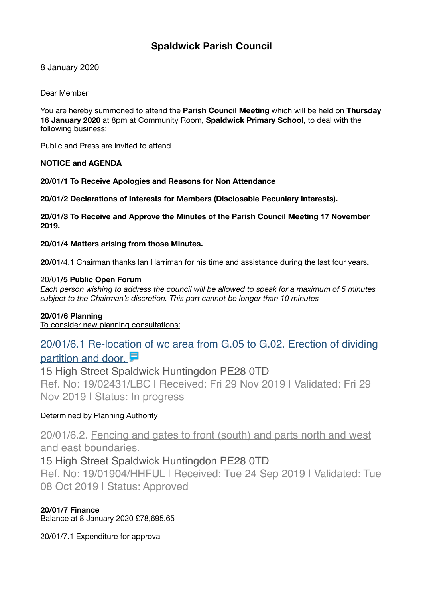# **Spaldwick Parish Council**

8 January 2020

Dear Member

You are hereby summoned to attend the **Parish Council Meeting** which will be held on **Thursday 16 January 2020** at 8pm at Community Room, **Spaldwick Primary School**, to deal with the following business:

Public and Press are invited to attend

### **NOTICE and AGENDA**

**20/01/1 To Receive Apologies and Reasons for Non Attendance** 

**20/01/2 Declarations of Interests for Members (Disclosable Pecuniary Interests).** 

**20/01/3 To Receive and Approve the Minutes of the Parish Council Meeting 17 November 2019.** 

**20/01/4 Matters arising from those Minutes.** 

**20/01**/4.1 Chairman thanks Ian Harriman for his time and assistance during the last four years**.** 

### 20/01**/5 Public Open Forum**

*Each person wishing to address the council will be allowed to speak for a maximum of 5 minutes subject to the Chairman's discretion. This part cannot be longer than 10 minutes* 

### **20/01/6 Planning**

To consider new planning consultations:

# [20/01/6.1 Re-location of wc area from G.05 to G.02. Erection of dividing](https://publicaccess.huntingdonshire.gov.uk/online-applications/applicationDetails.do?keyVal=Q1Q6I1IKHST00&activeTab=summary)  partition and door.

15 High Street Spaldwick Huntingdon PE28 0TD Ref. No: 19/02431/LBC | Received: Fri 29 Nov 2019 | Validated: Fri 29 Nov 2019 | Status: In progress

## Determined by Planning Authority

[20/01/6.2. Fencing and gates to front \(south\) and parts north and west](https://publicaccess.huntingdonshire.gov.uk/online-applications/applicationDetails.do?keyVal=PYC1GGIKGFR00&activeTab=summary)  [and east boundaries.](https://publicaccess.huntingdonshire.gov.uk/online-applications/applicationDetails.do?keyVal=PYC1GGIKGFR00&activeTab=summary)

# 15 High Street Spaldwick Huntingdon PE28 0TD

Ref. No: 19/01904/HHFUL | Received: Tue 24 Sep 2019 | Validated: Tue 08 Oct 2019 | Status: Approved

## **20/01/7 Finance**

Balance at 8 January 2020 £78,695.65

20/01/7.1 Expenditure for approval